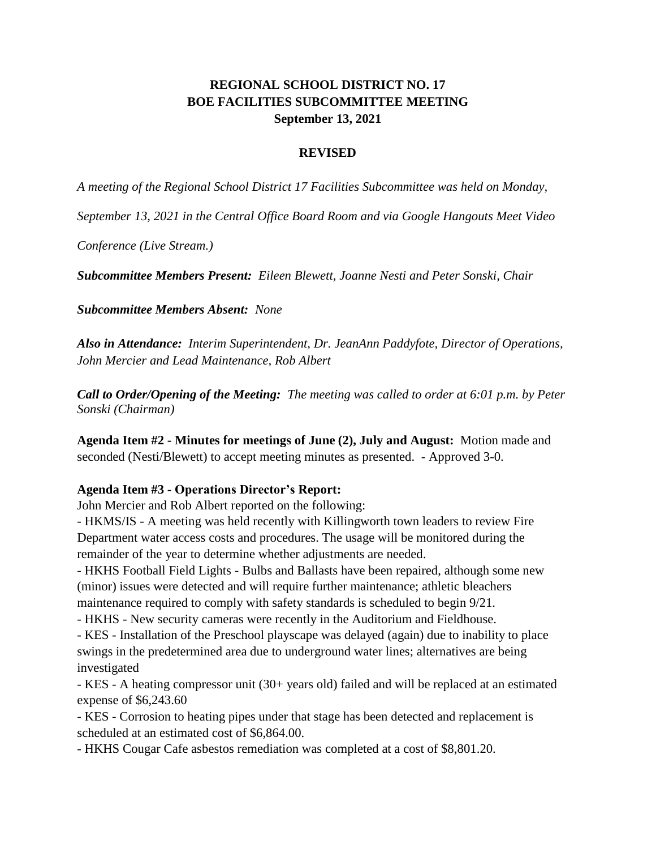## **REGIONAL SCHOOL DISTRICT NO. 17 BOE FACILITIES SUBCOMMITTEE MEETING September 13, 2021**

## **REVISED**

*A meeting of the Regional School District 17 Facilities Subcommittee was held on Monday,* 

*September 13, 2021 in the Central Office Board Room and via Google Hangouts Meet Video* 

*Conference (Live Stream.)*

*Subcommittee Members Present: Eileen Blewett, Joanne Nesti and Peter Sonski, Chair* 

*Subcommittee Members Absent: None*

*Also in Attendance: Interim Superintendent, Dr. JeanAnn Paddyfote, Director of Operations, John Mercier and Lead Maintenance, Rob Albert*

*Call to Order/Opening of the Meeting: The meeting was called to order at 6:01 p.m. by Peter Sonski (Chairman)*

**Agenda Item #2 - Minutes for meetings of June (2), July and August:** Motion made and seconded (Nesti/Blewett) to accept meeting minutes as presented. - Approved 3-0.

## **Agenda Item #3 - Operations Director's Report:**

John Mercier and Rob Albert reported on the following:

- HKMS/IS - A meeting was held recently with Killingworth town leaders to review Fire Department water access costs and procedures. The usage will be monitored during the remainder of the year to determine whether adjustments are needed.

- HKHS Football Field Lights - Bulbs and Ballasts have been repaired, although some new (minor) issues were detected and will require further maintenance; athletic bleachers maintenance required to comply with safety standards is scheduled to begin 9/21.

- HKHS - New security cameras were recently in the Auditorium and Fieldhouse.

- KES - Installation of the Preschool playscape was delayed (again) due to inability to place swings in the predetermined area due to underground water lines; alternatives are being investigated

- KES - A heating compressor unit (30+ years old) failed and will be replaced at an estimated expense of \$6,243.60

- KES - Corrosion to heating pipes under that stage has been detected and replacement is scheduled at an estimated cost of \$6,864.00.

- HKHS Cougar Cafe asbestos remediation was completed at a cost of \$8,801.20.